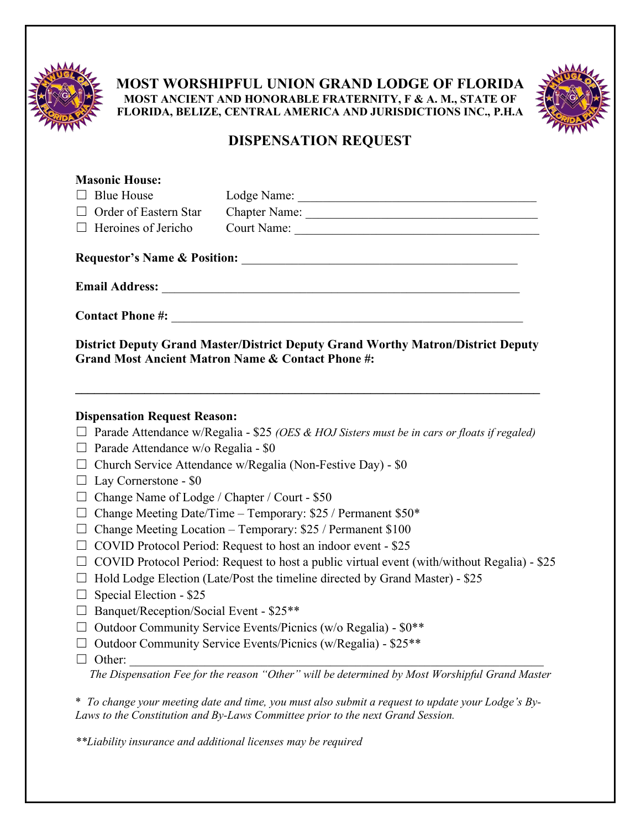

**MOST WORSHIPFUL UNION GRAND LODGE OF FLORIDA MOST ANCIENT AND HONORABLE FRATERNITY, F & A. M., STATE OF FLORIDA, BELIZE, CENTRAL AMERICA AND JURISDICTIONS INC., P.H.A**



## **DISPENSATION REQUEST**

| <b>Masonic House:</b>                                                                                             |                                                                                                                                                                          |  |
|-------------------------------------------------------------------------------------------------------------------|--------------------------------------------------------------------------------------------------------------------------------------------------------------------------|--|
| <b>Blue House</b>                                                                                                 |                                                                                                                                                                          |  |
| □ Order of Eastern Star                                                                                           |                                                                                                                                                                          |  |
| $\Box$ Heroines of Jericho                                                                                        |                                                                                                                                                                          |  |
|                                                                                                                   | Requestor's Name & Position:                                                                                                                                             |  |
|                                                                                                                   |                                                                                                                                                                          |  |
|                                                                                                                   |                                                                                                                                                                          |  |
|                                                                                                                   | <b>District Deputy Grand Master/District Deputy Grand Worthy Matron/District Deputy</b><br><b>Grand Most Ancient Matron Name &amp; Contact Phone #:</b>                  |  |
| <b>Dispensation Request Reason:</b><br>$\Box$ Parade Attendance w/o Regalia - \$0<br>$\Box$ Lay Cornerstone - \$0 | $\Box$ Parade Attendance w/Regalia - \$25 (OES & HOJ Sisters must be in cars or floats if regaled)<br>$\Box$ Church Service Attendance w/Regalia (Non-Festive Day) - \$0 |  |
| Change Name of Lodge / Chapter / Court - \$50<br>$\perp$                                                          |                                                                                                                                                                          |  |
| <b>The Contract of the Contract</b>                                                                               | Change Meeting Date/Time - Temporary: \$25 / Permanent \$50*                                                                                                             |  |
| $\Box$ Change Meeting Location - Temporary: \$25 / Permanent \$100                                                |                                                                                                                                                                          |  |
| $\Box$ COVID Protocol Period: Request to host an indoor event - \$25                                              |                                                                                                                                                                          |  |
| $\Box$ COVID Protocol Period: Request to host a public virtual event (with/without Regalia) - \$25                |                                                                                                                                                                          |  |
|                                                                                                                   | $\Box$ Hold Lodge Election (Late/Post the timeline directed by Grand Master) - \$25                                                                                      |  |
| Special Election - \$25<br>$\Box$                                                                                 |                                                                                                                                                                          |  |
| $\Box$ Banquet/Reception/Social Event - \$25**                                                                    |                                                                                                                                                                          |  |
|                                                                                                                   | $\Box$ Outdoor Community Service Events/Picnics (w/o Regalia) - \$0**<br>$\Box$ Outdoor Community Service Events/Picnics (w/Regalia) - \$25**                            |  |
| $\Box$ Other:                                                                                                     |                                                                                                                                                                          |  |
|                                                                                                                   |                                                                                                                                                                          |  |

*The Dispensation Fee for the reason "Other" will be determined by Most Worshipful Grand Master*

\* *To change your meeting date and time, you must also submit a request to update your Lodge's By-Laws to the Constitution and By-Laws Committee prior to the next Grand Session.*

*\*\*Liability insurance and additional licenses may be required*